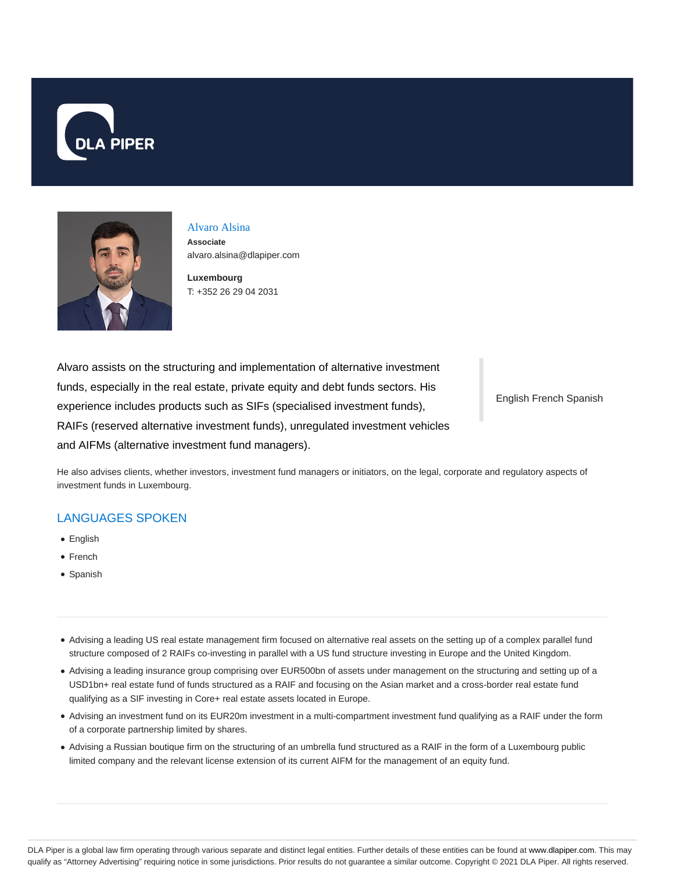



# Alvaro Alsina

**Associate** alvaro.alsina@dlapiper.com

**Luxembourg** T: +352 26 29 04 2031

Alvaro assists on the structuring and implementation of alternative investment funds, especially in the real estate, private equity and debt funds sectors. His experience includes products such as SIFs (specialised investment funds), RAIFs (reserved alternative investment funds), unregulated investment vehicles and AIFMs (alternative investment fund managers).

English French Spanish

He also advises clients, whether investors, investment fund managers or initiators, on the legal, corporate and regulatory aspects of investment funds in Luxembourg.

### LANGUAGES SPOKEN

- English
- French
- Spanish
- Advising a leading US real estate management firm focused on alternative real assets on the setting up of a complex parallel fund structure composed of 2 RAIFs co-investing in parallel with a US fund structure investing in Europe and the United Kingdom.
- Advising a leading insurance group comprising over EUR500bn of assets under management on the structuring and setting up of a USD1bn+ real estate fund of funds structured as a RAIF and focusing on the Asian market and a cross-border real estate fund qualifying as a SIF investing in Core+ real estate assets located in Europe.
- Advising an investment fund on its EUR20m investment in a multi-compartment investment fund qualifying as a RAIF under the form of a corporate partnership limited by shares.
- Advising a Russian boutique firm on the structuring of an umbrella fund structured as a RAIF in the form of a Luxembourg public limited company and the relevant license extension of its current AIFM for the management of an equity fund.

DLA Piper is a global law firm operating through various separate and distinct legal entities. Further details of these entities can be found at www.dlapiper.com. This may qualify as "Attorney Advertising" requiring notice in some jurisdictions. Prior results do not guarantee a similar outcome. Copyright @ 2021 DLA Piper. All rights reserved.